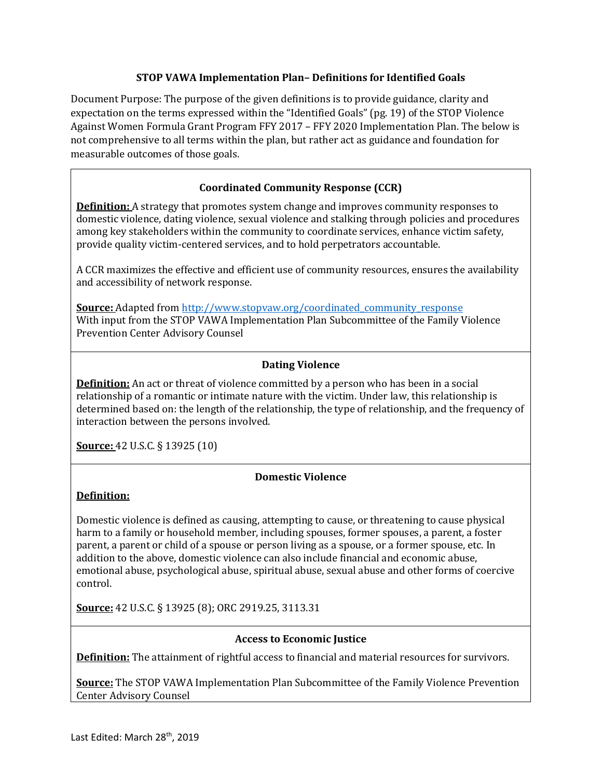### **STOP VAWA Implementation Plan– Definitions for Identified Goals**

Document Purpose: The purpose of the given definitions is to provide guidance, clarity and expectation on the terms expressed within the "Identified Goals" (pg. 19) of the STOP Violence Against Women Formula Grant Program FFY 2017 – FFY 2020 Implementation Plan. The below is not comprehensive to all terms within the plan, but rather act as guidance and foundation for measurable outcomes of those goals.

# **Coordinated Community Response (CCR)**

**Definition:** A strategy that promotes system change and improves community responses to domestic violence, dating violence, sexual violence and stalking through policies and procedures among key stakeholders within the community to coordinate services, enhance victim safety, provide quality victim-centered services, and to hold perpetrators accountable.

A CCR maximizes the effective and efficient use of community resources, ensures the availability and accessibility of network response.

**<u>Source:</u>** Adapted from [http://www.stopvaw.org/coordinated\\_community\\_response](http://www.stopvaw.org/coordinated_community_response) With input from the STOP VAWA Implementation Plan Subcommittee of the Family Violence Prevention Center Advisory Counsel

## **Dating Violence**

**Definition:** An act or threat of violence committed by a person who has been in a social relationship of a romantic or intimate nature with the victim. Under law, this relationship is determined based on: the length of the relationship, the type of relationship, and the frequency of interaction between the persons involved.

**Source:** 42 U.S.C. § 13925 (10)

### **Domestic Violence**

### **Definition:**

Domestic violence is defined as causing, attempting to cause, or threatening to cause physical harm to a family or household member, including spouses, former spouses, a parent, a foster parent, a parent or child of a spouse or person living as a spouse, or a former spouse, etc. In addition to the above, domestic violence can also include financial and economic abuse, emotional abuse, psychological abuse, spiritual abuse, sexual abuse and other forms of coercive control.

**Source:** 42 U.S.C. § 13925 (8); ORC 2919.25, 3113.31

### **Access to Economic Justice**

**Definition:** The attainment of rightful access to financial and material resources for survivors.

**Source:** The STOP VAWA Implementation Plan Subcommittee of the Family Violence Prevention Center Advisory Counsel